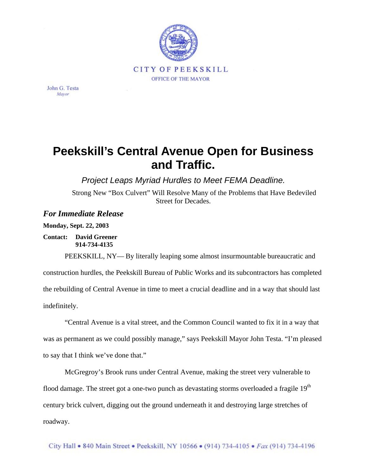

John G. Testa Mayor

## **Peekskill's Central Avenue Open for Business and Traffic.**

*Project Leaps Myriad Hurdles to Meet FEMA Deadline.*

Strong New "Box Culvert" Will Resolve Many of the Problems that Have Bedeviled Street for Decades.

## *For Immediate Release*

**Monday, Sept. 22, 2003** 

**Contact: David Greener 914-734-4135** 

PEEKSKILL, NY— By literally leaping some almost insurmountable bureaucratic and construction hurdles, the Peekskill Bureau of Public Works and its subcontractors has completed the rebuilding of Central Avenue in time to meet a crucial deadline and in a way that should last indefinitely.

"Central Avenue is a vital street, and the Common Council wanted to fix it in a way that was as permanent as we could possibly manage," says Peekskill Mayor John Testa. "I'm pleased to say that I think we've done that."

McGregroy's Brook runs under Central Avenue, making the street very vulnerable to flood damage. The street got a one-two punch as devastating storms overloaded a fragile  $19<sup>th</sup>$ century brick culvert, digging out the ground underneath it and destroying large stretches of roadway.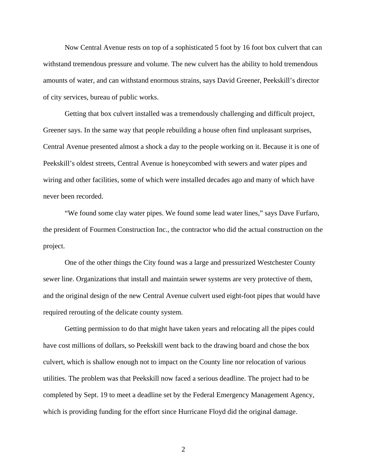Now Central Avenue rests on top of a sophisticated 5 foot by 16 foot box culvert that can withstand tremendous pressure and volume. The new culvert has the ability to hold tremendous amounts of water, and can withstand enormous strains, says David Greener, Peekskill's director of city services, bureau of public works.

Getting that box culvert installed was a tremendously challenging and difficult project, Greener says. In the same way that people rebuilding a house often find unpleasant surprises, Central Avenue presented almost a shock a day to the people working on it. Because it is one of Peekskill's oldest streets, Central Avenue is honeycombed with sewers and water pipes and wiring and other facilities, some of which were installed decades ago and many of which have never been recorded.

"We found some clay water pipes. We found some lead water lines," says Dave Furfaro, the president of Fourmen Construction Inc., the contractor who did the actual construction on the project.

One of the other things the City found was a large and pressurized Westchester County sewer line. Organizations that install and maintain sewer systems are very protective of them, and the original design of the new Central Avenue culvert used eight-foot pipes that would have required rerouting of the delicate county system.

Getting permission to do that might have taken years and relocating all the pipes could have cost millions of dollars, so Peekskill went back to the drawing board and chose the box culvert, which is shallow enough not to impact on the County line nor relocation of various utilities. The problem was that Peekskill now faced a serious deadline. The project had to be completed by Sept. 19 to meet a deadline set by the Federal Emergency Management Agency, which is providing funding for the effort since Hurricane Floyd did the original damage.

2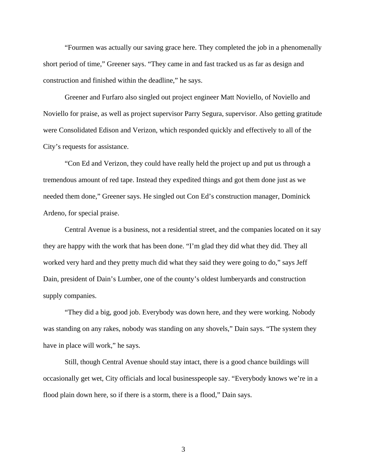"Fourmen was actually our saving grace here. They completed the job in a phenomenally short period of time," Greener says. "They came in and fast tracked us as far as design and construction and finished within the deadline," he says.

Greener and Furfaro also singled out project engineer Matt Noviello, of Noviello and Noviello for praise, as well as project supervisor Parry Segura, supervisor. Also getting gratitude were Consolidated Edison and Verizon, which responded quickly and effectively to all of the City's requests for assistance.

"Con Ed and Verizon, they could have really held the project up and put us through a tremendous amount of red tape. Instead they expedited things and got them done just as we needed them done," Greener says. He singled out Con Ed's construction manager, Dominick Ardeno, for special praise.

Central Avenue is a business, not a residential street, and the companies located on it say they are happy with the work that has been done. "I'm glad they did what they did. They all worked very hard and they pretty much did what they said they were going to do," says Jeff Dain, president of Dain's Lumber, one of the county's oldest lumberyards and construction supply companies.

"They did a big, good job. Everybody was down here, and they were working. Nobody was standing on any rakes, nobody was standing on any shovels," Dain says. "The system they have in place will work," he says.

Still, though Central Avenue should stay intact, there is a good chance buildings will occasionally get wet, City officials and local businesspeople say. "Everybody knows we're in a flood plain down here, so if there is a storm, there is a flood," Dain says.

3